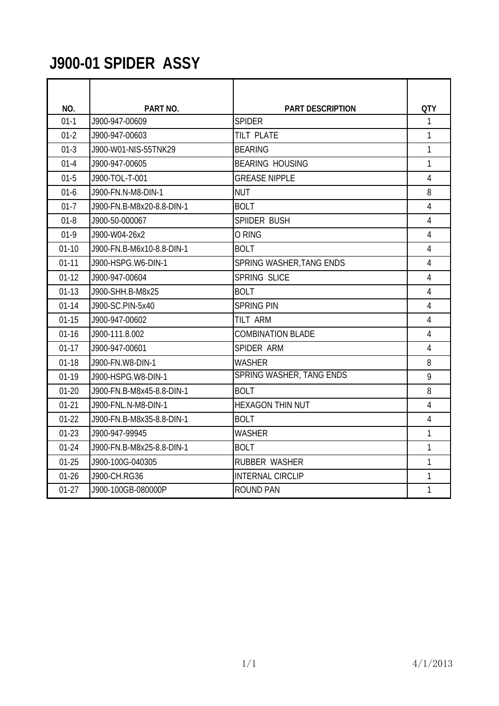### **J900-01 SPIDER ASSY**

| NO.       | PART NO.                  | <b>PART DESCRIPTION</b>         | <b>QTY</b>     |
|-----------|---------------------------|---------------------------------|----------------|
| $01-1$    | J900-947-00609            | <b>SPIDER</b>                   | $\mathbf{1}$   |
| $01 - 2$  | J900-947-00603            | <b>TILT PLATE</b>               | $\mathbf{1}$   |
| $01-3$    | J900-W01-NIS-55TNK29      | <b>BEARING</b>                  | 1              |
| $01 - 4$  | J900-947-00605            | <b>BEARING HOUSING</b>          | 1              |
| $01-5$    | J900-TOL-T-001            | <b>GREASE NIPPLE</b>            | 4              |
| $01-6$    | J900-FN.N-M8-DIN-1        | <b>NUT</b>                      | 8              |
| $01 - 7$  | J900-FN.B-M8x20-8.8-DIN-1 | <b>BOLT</b>                     | 4              |
| $01 - 8$  | J900-50-000067            | <b>SPIIDER BUSH</b>             | 4              |
| $01-9$    | J900-W04-26x2             | O RING                          | 4              |
| $01-10$   | J900-FN.B-M6x10-8.8-DIN-1 | <b>BOLT</b>                     | 4              |
| $01 - 11$ | J900-HSPG.W6-DIN-1        | SPRING WASHER, TANG ENDS        | 4              |
| $01-12$   | J900-947-00604            | SPRING SLICE                    | 4              |
| $01-13$   | J900-SHH.B-M8x25          | <b>BOLT</b>                     | $\overline{4}$ |
| $01 - 14$ | J900-SC.PIN-5x40          | <b>SPRING PIN</b>               | $\overline{4}$ |
| $01 - 15$ | J900-947-00602            | <b>TILT ARM</b>                 | 4              |
| $01 - 16$ | J900-111.8.002            | <b>COMBINATION BLADE</b>        | 4              |
| $01-17$   | J900-947-00601            | <b>SPIDER ARM</b>               | 4              |
| $01 - 18$ | J900-FN.W8-DIN-1          | <b>WASHER</b>                   | 8              |
| $01-19$   | J900-HSPG.W8-DIN-1        | <b>SPRING WASHER, TANG ENDS</b> | 9              |
| $01 - 20$ | J900-FN.B-M8x45-8.8-DIN-1 | <b>BOLT</b>                     | 8              |
| $01 - 21$ | J900-FNL.N-M8-DIN-1       | <b>HEXAGON THIN NUT</b>         | $\overline{4}$ |
| $01-22$   | J900-FN.B-M8x35-8.8-DIN-1 | <b>BOLT</b>                     | $\overline{4}$ |
| $01-23$   | J900-947-99945            | WASHER                          | 1              |
| $01 - 24$ | J900-FN.B-M8x25-8.8-DIN-1 | <b>BOLT</b>                     | 1              |
| $01 - 25$ | J900-100G-040305          | <b>RUBBER WASHER</b>            | $\mathbf{1}$   |
| $01 - 26$ | J900-CH.RG36              | <b>INTERNAL CIRCLIP</b>         | 1              |
| $01-27$   | J900-100GB-080000P        | <b>ROUND PAN</b>                | 1              |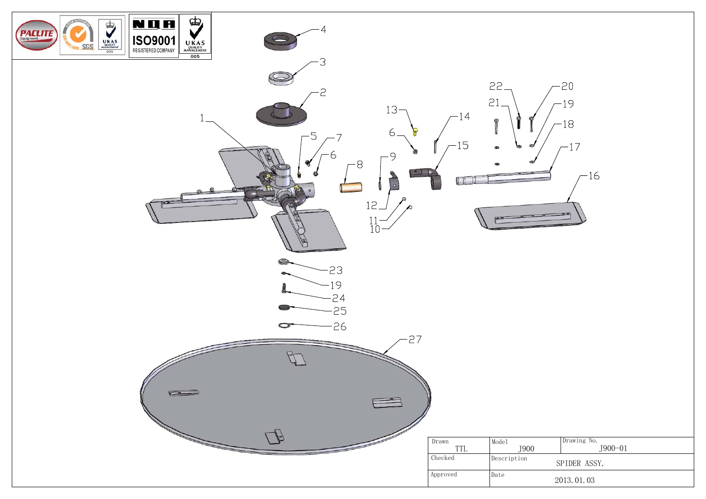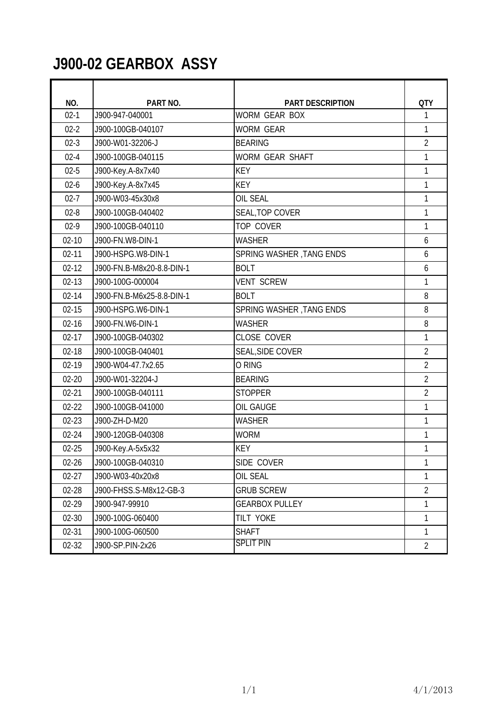#### **J900-02 GEARBOX ASSY**

| NO.       | PART NO.                  | <b>PART DESCRIPTION</b>  | <b>QTY</b>     |
|-----------|---------------------------|--------------------------|----------------|
| $02 - 1$  | J900-947-040001           | WORM GEAR BOX            | 1              |
| $02 - 2$  | J900-100GB-040107         | <b>WORM GEAR</b>         | 1              |
| $02-3$    | J900-W01-32206-J          | <b>BEARING</b>           | $\overline{2}$ |
| $02 - 4$  | J900-100GB-040115         | <b>WORM GEAR SHAFT</b>   | 1              |
| $02 - 5$  | J900-Key.A-8x7x40         | <b>KEY</b>               | 1              |
| $02 - 6$  | J900-Key.A-8x7x45         | <b>KEY</b>               | 1              |
| $02 - 7$  | J900-W03-45x30x8          | <b>OIL SEAL</b>          | 1              |
| $02 - 8$  | J900-100GB-040402         | SEAL, TOP COVER          | 1              |
| $02 - 9$  | J900-100GB-040110         | TOP COVER                | 1              |
| $02 - 10$ | J900-FN.W8-DIN-1          | <b>WASHER</b>            | 6              |
| $02 - 11$ | J900-HSPG.W8-DIN-1        | SPRING WASHER, TANG ENDS | 6              |
| $02 - 12$ | J900-FN.B-M8x20-8.8-DIN-1 | <b>BOLT</b>              | 6              |
| $02 - 13$ | J900-100G-000004          | <b>VENT SCREW</b>        | 1              |
| $02 - 14$ | J900-FN.B-M6x25-8.8-DIN-1 | <b>BOLT</b>              | 8              |
| $02 - 15$ | J900-HSPG.W6-DIN-1        | SPRING WASHER, TANG ENDS | 8              |
| $02 - 16$ | J900-FN.W6-DIN-1          | <b>WASHER</b>            | 8              |
| $02 - 17$ | J900-100GB-040302         | CLOSE COVER              | 1              |
| $02 - 18$ | J900-100GB-040401         | <b>SEAL, SIDE COVER</b>  | $\overline{2}$ |
| 02-19     | J900-W04-47.7x2.65        | O RING                   | $\overline{2}$ |
| $02 - 20$ | J900-W01-32204-J          | <b>BEARING</b>           | $\overline{2}$ |
| $02 - 21$ | J900-100GB-040111         | <b>STOPPER</b>           | $\overline{2}$ |
| $02 - 22$ | J900-100GB-041000         | OIL GAUGE                | 1              |
| $02 - 23$ | J900-ZH-D-M20             | <b>WASHER</b>            | 1              |
| $02 - 24$ | J900-120GB-040308         | <b>WORM</b>              | 1              |
| $02 - 25$ | J900-Key.A-5x5x32         | <b>KEY</b>               | 1              |
| $02 - 26$ | J900-100GB-040310         | SIDE COVER               | 1              |
| $02 - 27$ | J900-W03-40x20x8          | OIL SEAL                 | 1              |
| 02-28     | J900-FHSS.S-M8x12-GB-3    | <b>GRUB SCREW</b>        | $\overline{2}$ |
| 02-29     | J900-947-99910            | <b>GEARBOX PULLEY</b>    | 1              |
| $02 - 30$ | J900-100G-060400          | TILT YOKE                | 1              |
| $02 - 31$ | J900-100G-060500          | <b>SHAFT</b>             | $\mathbf{1}$   |
| $02 - 32$ | J900-SP.PIN-2x26          | <b>SPLIT PIN</b>         | $\overline{2}$ |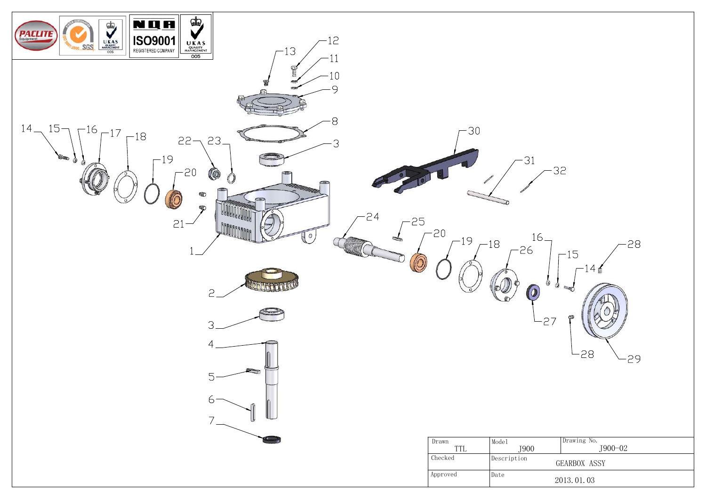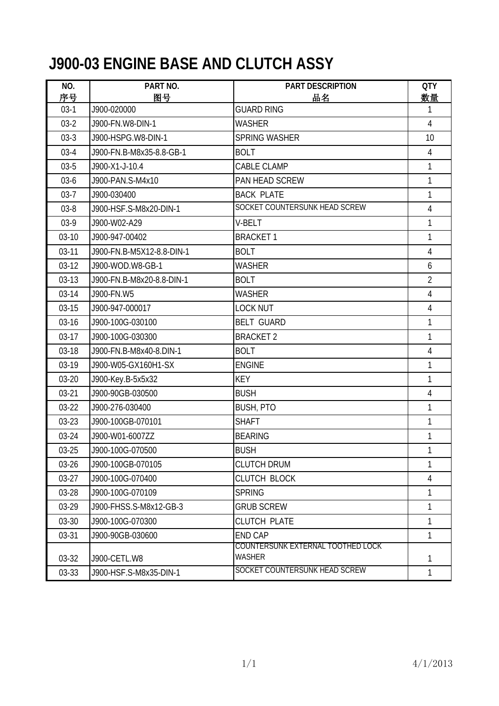### **J900-03 ENGINE BASE AND CLUTCH ASSY**

| NO.          | PART NO.                  | PART DESCRIPTION                            | <b>QTY</b>     |
|--------------|---------------------------|---------------------------------------------|----------------|
| 序号<br>$03-1$ | 图号<br>J900-020000         | 品名<br><b>GUARD RING</b>                     | 数量<br>1        |
| $03-2$       | J900-FN.W8-DIN-1          | WASHER                                      | $\overline{4}$ |
| $03-3$       | J900-HSPG.W8-DIN-1        | <b>SPRING WASHER</b>                        | 10             |
| $03-4$       | J900-FN.B-M8x35-8.8-GB-1  | <b>BOLT</b>                                 | $\overline{4}$ |
| $03 - 5$     | J900-X1-J-10.4            | CABLE CLAMP                                 | 1              |
| $03-6$       | J900-PAN.S-M4x10          | PAN HEAD SCREW                              | 1              |
| $03 - 7$     | J900-030400               | <b>BACK PLATE</b>                           | 1              |
| $03 - 8$     | J900-HSF.S-M8x20-DIN-1    | SOCKET COUNTERSUNK HEAD SCREW               | 4              |
| 03-9         | J900-W02-A29              | V-BELT                                      | 1              |
| $03-10$      | J900-947-00402            | <b>BRACKET1</b>                             | 1              |
| $03-11$      | J900-FN.B-M5X12-8.8-DIN-1 | <b>BOLT</b>                                 | $\overline{4}$ |
| $03-12$      | J900-WOD.W8-GB-1          | <b>WASHER</b>                               | 6              |
| $03-13$      | J900-FN.B-M8x20-8.8-DIN-1 | <b>BOLT</b>                                 | $\overline{2}$ |
| 03-14        | J900-FN.W5                | <b>WASHER</b>                               | $\overline{4}$ |
| $03-15$      | J900-947-000017           | <b>LOCK NUT</b>                             | $\overline{4}$ |
| 03-16        | J900-100G-030100          | <b>BELT GUARD</b>                           | 1              |
| $03-17$      | J900-100G-030300          | <b>BRACKET 2</b>                            | 1              |
| 03-18        | J900-FN.B-M8x40-8.DIN-1   | <b>BOLT</b>                                 | $\overline{4}$ |
| 03-19        | J900-W05-GX160H1-SX       | <b>ENGINE</b>                               | 1              |
| $03 - 20$    | J900-Key.B-5x5x32         | <b>KEY</b>                                  | 1              |
| $03 - 21$    | J900-90GB-030500          | <b>BUSH</b>                                 | $\overline{4}$ |
| $03-22$      | J900-276-030400           | <b>BUSH, PTO</b>                            | $\mathbf{1}$   |
| $03 - 23$    | J900-100GB-070101         | <b>SHAFT</b>                                | 1              |
| 03-24        | J900-W01-6007ZZ           | <b>BEARING</b>                              | 1              |
| 03-25        | J900-100G-070500          | <b>BUSH</b>                                 | 1              |
| 03-26        | J900-100GB-070105         | <b>CLUTCH DRUM</b>                          | 1              |
| $03-27$      | J900-100G-070400          | CLUTCH BLOCK                                | $\overline{4}$ |
| 03-28        | J900-100G-070109          | <b>SPRING</b>                               | 1              |
| 03-29        | J900-FHSS.S-M8x12-GB-3    | <b>GRUB SCREW</b>                           | 1              |
| 03-30        | J900-100G-070300          | CLUTCH PLATE                                | 1              |
| 03-31        | J900-90GB-030600          | <b>END CAP</b>                              | 1              |
| 03-32        | J900-CETL.W8              | COUNTERSUNK EXTERNAL TOOTHED LOCK<br>WASHER | 1              |
| 03-33        | J900-HSF.S-M8x35-DIN-1    | SOCKET COUNTERSUNK HEAD SCREW               | 1              |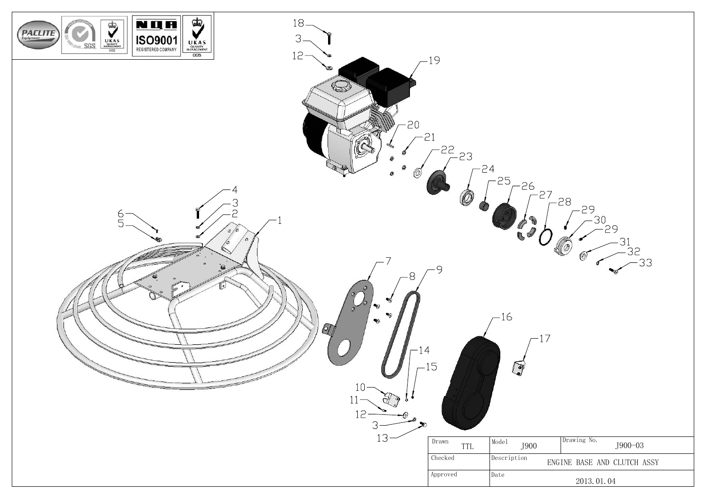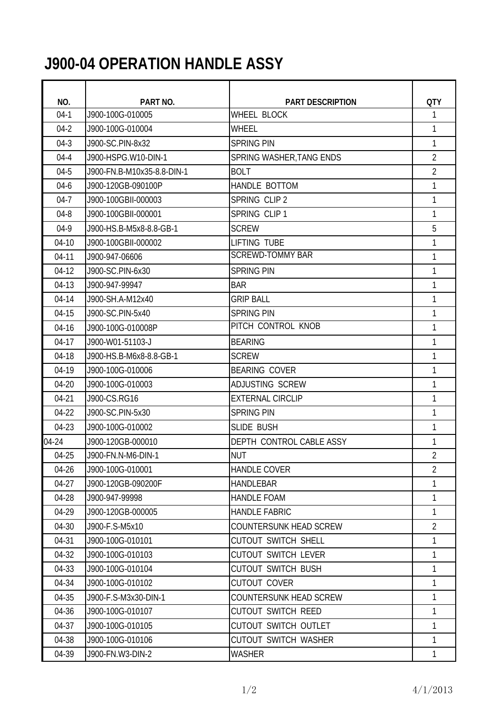# **J900-04 OPERATION HANDLE ASSY**

| <b>QTY</b><br>NO.<br>PART NO.<br><b>PART DESCRIPTION</b><br>$04-1$<br><b>WHEEL BLOCK</b><br>1<br>J900-100G-010005<br>$04-2$<br>J900-100G-010004<br><b>WHEEL</b><br>1<br>1<br>$04-3$<br>J900-SC.PIN-8x32<br><b>SPRING PIN</b><br>$\overline{2}$<br>$04 - 4$<br>J900-HSPG.W10-DIN-1<br>SPRING WASHER, TANG ENDS<br>$\overline{2}$<br>$04 - 5$<br>J900-FN.B-M10x35-8.8-DIN-1<br><b>BOLT</b><br>HANDLE BOTTOM<br>1<br>$04 - 6$<br>J900-120GB-090100P<br>$04 - 7$<br>SPRING CLIP 2<br>J900-100GBII-000003<br>1<br>SPRING CLIP 1<br>1<br>$04 - 8$<br>J900-100GBII-000001<br>5<br>$04-9$<br>J900-HS.B-M5x8-8.8-GB-1<br><b>SCREW</b><br><b>LIFTING TUBE</b><br>$04-10$<br>1<br>J900-100GBII-000002<br><b>SCREWD-TOMMY BAR</b><br>$04-11$<br>J900-947-06606<br>1<br>1<br>$04-12$<br>J900-SC.PIN-6x30<br><b>SPRING PIN</b><br>$04-13$<br><b>BAR</b><br>1<br>J900-947-99947<br><b>GRIP BALL</b><br>04-14<br>J900-SH.A-M12x40<br>1<br><b>SPRING PIN</b><br>1<br>04-15<br>J900-SC.PIN-5x40<br>PITCH CONTROL KNOB<br>04-16<br>J900-100G-010008P<br>1<br>1<br>$04-17$<br>J900-W01-51103-J<br><b>BEARING</b><br>04-18<br><b>SCREW</b><br>J900-HS.B-M6x8-8.8-GB-1<br>1<br>04-19<br>J900-100G-010006<br><b>BEARING COVER</b><br>1<br>04-20<br><b>ADJUSTING SCREW</b><br>1<br>J900-100G-010003<br>04-21<br>J900-CS.RG16<br><b>EXTERNAL CIRCLIP</b><br>1<br>04-22<br>J900-SC.PIN-5x30<br>1<br><b>SPRING PIN</b><br>04-23<br>J900-100G-010002<br>SLIDE BUSH<br>1<br>04-24<br>DEPTH CONTROL CABLE ASSY<br>J900-120GB-000010<br>1<br><b>NUT</b><br>$\overline{2}$<br>04-25<br>J900-FN.N-M6-DIN-1<br>$\overline{2}$<br><b>HANDLE COVER</b><br>04-26<br>J900-100G-010001<br>04-27<br><b>HANDLEBAR</b><br>1<br>J900-120GB-090200F<br>04-28<br><b>HANDLE FOAM</b><br>1<br>J900-947-99998<br><b>HANDLE FABRIC</b><br>$\mathbf{1}$<br>04-29<br>J900-120GB-000005<br>$\overline{2}$<br>04-30<br>J900-F.S-M5x10<br>COUNTERSUNK HEAD SCREW |
|------------------------------------------------------------------------------------------------------------------------------------------------------------------------------------------------------------------------------------------------------------------------------------------------------------------------------------------------------------------------------------------------------------------------------------------------------------------------------------------------------------------------------------------------------------------------------------------------------------------------------------------------------------------------------------------------------------------------------------------------------------------------------------------------------------------------------------------------------------------------------------------------------------------------------------------------------------------------------------------------------------------------------------------------------------------------------------------------------------------------------------------------------------------------------------------------------------------------------------------------------------------------------------------------------------------------------------------------------------------------------------------------------------------------------------------------------------------------------------------------------------------------------------------------------------------------------------------------------------------------------------------------------------------------------------------------------------------------------------------------------------------------------------------------------------------------------------------------------------------------------------------------------------|
|                                                                                                                                                                                                                                                                                                                                                                                                                                                                                                                                                                                                                                                                                                                                                                                                                                                                                                                                                                                                                                                                                                                                                                                                                                                                                                                                                                                                                                                                                                                                                                                                                                                                                                                                                                                                                                                                                                            |
|                                                                                                                                                                                                                                                                                                                                                                                                                                                                                                                                                                                                                                                                                                                                                                                                                                                                                                                                                                                                                                                                                                                                                                                                                                                                                                                                                                                                                                                                                                                                                                                                                                                                                                                                                                                                                                                                                                            |
|                                                                                                                                                                                                                                                                                                                                                                                                                                                                                                                                                                                                                                                                                                                                                                                                                                                                                                                                                                                                                                                                                                                                                                                                                                                                                                                                                                                                                                                                                                                                                                                                                                                                                                                                                                                                                                                                                                            |
|                                                                                                                                                                                                                                                                                                                                                                                                                                                                                                                                                                                                                                                                                                                                                                                                                                                                                                                                                                                                                                                                                                                                                                                                                                                                                                                                                                                                                                                                                                                                                                                                                                                                                                                                                                                                                                                                                                            |
|                                                                                                                                                                                                                                                                                                                                                                                                                                                                                                                                                                                                                                                                                                                                                                                                                                                                                                                                                                                                                                                                                                                                                                                                                                                                                                                                                                                                                                                                                                                                                                                                                                                                                                                                                                                                                                                                                                            |
|                                                                                                                                                                                                                                                                                                                                                                                                                                                                                                                                                                                                                                                                                                                                                                                                                                                                                                                                                                                                                                                                                                                                                                                                                                                                                                                                                                                                                                                                                                                                                                                                                                                                                                                                                                                                                                                                                                            |
|                                                                                                                                                                                                                                                                                                                                                                                                                                                                                                                                                                                                                                                                                                                                                                                                                                                                                                                                                                                                                                                                                                                                                                                                                                                                                                                                                                                                                                                                                                                                                                                                                                                                                                                                                                                                                                                                                                            |
|                                                                                                                                                                                                                                                                                                                                                                                                                                                                                                                                                                                                                                                                                                                                                                                                                                                                                                                                                                                                                                                                                                                                                                                                                                                                                                                                                                                                                                                                                                                                                                                                                                                                                                                                                                                                                                                                                                            |
|                                                                                                                                                                                                                                                                                                                                                                                                                                                                                                                                                                                                                                                                                                                                                                                                                                                                                                                                                                                                                                                                                                                                                                                                                                                                                                                                                                                                                                                                                                                                                                                                                                                                                                                                                                                                                                                                                                            |
|                                                                                                                                                                                                                                                                                                                                                                                                                                                                                                                                                                                                                                                                                                                                                                                                                                                                                                                                                                                                                                                                                                                                                                                                                                                                                                                                                                                                                                                                                                                                                                                                                                                                                                                                                                                                                                                                                                            |
|                                                                                                                                                                                                                                                                                                                                                                                                                                                                                                                                                                                                                                                                                                                                                                                                                                                                                                                                                                                                                                                                                                                                                                                                                                                                                                                                                                                                                                                                                                                                                                                                                                                                                                                                                                                                                                                                                                            |
|                                                                                                                                                                                                                                                                                                                                                                                                                                                                                                                                                                                                                                                                                                                                                                                                                                                                                                                                                                                                                                                                                                                                                                                                                                                                                                                                                                                                                                                                                                                                                                                                                                                                                                                                                                                                                                                                                                            |
|                                                                                                                                                                                                                                                                                                                                                                                                                                                                                                                                                                                                                                                                                                                                                                                                                                                                                                                                                                                                                                                                                                                                                                                                                                                                                                                                                                                                                                                                                                                                                                                                                                                                                                                                                                                                                                                                                                            |
|                                                                                                                                                                                                                                                                                                                                                                                                                                                                                                                                                                                                                                                                                                                                                                                                                                                                                                                                                                                                                                                                                                                                                                                                                                                                                                                                                                                                                                                                                                                                                                                                                                                                                                                                                                                                                                                                                                            |
|                                                                                                                                                                                                                                                                                                                                                                                                                                                                                                                                                                                                                                                                                                                                                                                                                                                                                                                                                                                                                                                                                                                                                                                                                                                                                                                                                                                                                                                                                                                                                                                                                                                                                                                                                                                                                                                                                                            |
|                                                                                                                                                                                                                                                                                                                                                                                                                                                                                                                                                                                                                                                                                                                                                                                                                                                                                                                                                                                                                                                                                                                                                                                                                                                                                                                                                                                                                                                                                                                                                                                                                                                                                                                                                                                                                                                                                                            |
|                                                                                                                                                                                                                                                                                                                                                                                                                                                                                                                                                                                                                                                                                                                                                                                                                                                                                                                                                                                                                                                                                                                                                                                                                                                                                                                                                                                                                                                                                                                                                                                                                                                                                                                                                                                                                                                                                                            |
|                                                                                                                                                                                                                                                                                                                                                                                                                                                                                                                                                                                                                                                                                                                                                                                                                                                                                                                                                                                                                                                                                                                                                                                                                                                                                                                                                                                                                                                                                                                                                                                                                                                                                                                                                                                                                                                                                                            |
|                                                                                                                                                                                                                                                                                                                                                                                                                                                                                                                                                                                                                                                                                                                                                                                                                                                                                                                                                                                                                                                                                                                                                                                                                                                                                                                                                                                                                                                                                                                                                                                                                                                                                                                                                                                                                                                                                                            |
|                                                                                                                                                                                                                                                                                                                                                                                                                                                                                                                                                                                                                                                                                                                                                                                                                                                                                                                                                                                                                                                                                                                                                                                                                                                                                                                                                                                                                                                                                                                                                                                                                                                                                                                                                                                                                                                                                                            |
|                                                                                                                                                                                                                                                                                                                                                                                                                                                                                                                                                                                                                                                                                                                                                                                                                                                                                                                                                                                                                                                                                                                                                                                                                                                                                                                                                                                                                                                                                                                                                                                                                                                                                                                                                                                                                                                                                                            |
|                                                                                                                                                                                                                                                                                                                                                                                                                                                                                                                                                                                                                                                                                                                                                                                                                                                                                                                                                                                                                                                                                                                                                                                                                                                                                                                                                                                                                                                                                                                                                                                                                                                                                                                                                                                                                                                                                                            |
|                                                                                                                                                                                                                                                                                                                                                                                                                                                                                                                                                                                                                                                                                                                                                                                                                                                                                                                                                                                                                                                                                                                                                                                                                                                                                                                                                                                                                                                                                                                                                                                                                                                                                                                                                                                                                                                                                                            |
|                                                                                                                                                                                                                                                                                                                                                                                                                                                                                                                                                                                                                                                                                                                                                                                                                                                                                                                                                                                                                                                                                                                                                                                                                                                                                                                                                                                                                                                                                                                                                                                                                                                                                                                                                                                                                                                                                                            |
|                                                                                                                                                                                                                                                                                                                                                                                                                                                                                                                                                                                                                                                                                                                                                                                                                                                                                                                                                                                                                                                                                                                                                                                                                                                                                                                                                                                                                                                                                                                                                                                                                                                                                                                                                                                                                                                                                                            |
|                                                                                                                                                                                                                                                                                                                                                                                                                                                                                                                                                                                                                                                                                                                                                                                                                                                                                                                                                                                                                                                                                                                                                                                                                                                                                                                                                                                                                                                                                                                                                                                                                                                                                                                                                                                                                                                                                                            |
|                                                                                                                                                                                                                                                                                                                                                                                                                                                                                                                                                                                                                                                                                                                                                                                                                                                                                                                                                                                                                                                                                                                                                                                                                                                                                                                                                                                                                                                                                                                                                                                                                                                                                                                                                                                                                                                                                                            |
|                                                                                                                                                                                                                                                                                                                                                                                                                                                                                                                                                                                                                                                                                                                                                                                                                                                                                                                                                                                                                                                                                                                                                                                                                                                                                                                                                                                                                                                                                                                                                                                                                                                                                                                                                                                                                                                                                                            |
|                                                                                                                                                                                                                                                                                                                                                                                                                                                                                                                                                                                                                                                                                                                                                                                                                                                                                                                                                                                                                                                                                                                                                                                                                                                                                                                                                                                                                                                                                                                                                                                                                                                                                                                                                                                                                                                                                                            |
|                                                                                                                                                                                                                                                                                                                                                                                                                                                                                                                                                                                                                                                                                                                                                                                                                                                                                                                                                                                                                                                                                                                                                                                                                                                                                                                                                                                                                                                                                                                                                                                                                                                                                                                                                                                                                                                                                                            |
|                                                                                                                                                                                                                                                                                                                                                                                                                                                                                                                                                                                                                                                                                                                                                                                                                                                                                                                                                                                                                                                                                                                                                                                                                                                                                                                                                                                                                                                                                                                                                                                                                                                                                                                                                                                                                                                                                                            |
| <b>CUTOUT SWITCH SHELL</b><br>04-31<br>J900-100G-010101<br>1                                                                                                                                                                                                                                                                                                                                                                                                                                                                                                                                                                                                                                                                                                                                                                                                                                                                                                                                                                                                                                                                                                                                                                                                                                                                                                                                                                                                                                                                                                                                                                                                                                                                                                                                                                                                                                               |
| 04-32<br><b>CUTOUT SWITCH LEVER</b><br>1<br>J900-100G-010103                                                                                                                                                                                                                                                                                                                                                                                                                                                                                                                                                                                                                                                                                                                                                                                                                                                                                                                                                                                                                                                                                                                                                                                                                                                                                                                                                                                                                                                                                                                                                                                                                                                                                                                                                                                                                                               |
| 04-33<br>1<br>J900-100G-010104<br><b>CUTOUT SWITCH BUSH</b>                                                                                                                                                                                                                                                                                                                                                                                                                                                                                                                                                                                                                                                                                                                                                                                                                                                                                                                                                                                                                                                                                                                                                                                                                                                                                                                                                                                                                                                                                                                                                                                                                                                                                                                                                                                                                                                |
| <b>CUTOUT COVER</b><br>1<br>04-34<br>J900-100G-010102                                                                                                                                                                                                                                                                                                                                                                                                                                                                                                                                                                                                                                                                                                                                                                                                                                                                                                                                                                                                                                                                                                                                                                                                                                                                                                                                                                                                                                                                                                                                                                                                                                                                                                                                                                                                                                                      |
| 1<br>04-35<br>J900-F.S-M3x30-DIN-1<br>COUNTERSUNK HEAD SCREW                                                                                                                                                                                                                                                                                                                                                                                                                                                                                                                                                                                                                                                                                                                                                                                                                                                                                                                                                                                                                                                                                                                                                                                                                                                                                                                                                                                                                                                                                                                                                                                                                                                                                                                                                                                                                                               |
| 04-36<br><b>CUTOUT SWITCH REED</b><br>J900-100G-010107<br>1                                                                                                                                                                                                                                                                                                                                                                                                                                                                                                                                                                                                                                                                                                                                                                                                                                                                                                                                                                                                                                                                                                                                                                                                                                                                                                                                                                                                                                                                                                                                                                                                                                                                                                                                                                                                                                                |
| 04-37<br>J900-100G-010105<br>CUTOUT SWITCH OUTLET<br>1                                                                                                                                                                                                                                                                                                                                                                                                                                                                                                                                                                                                                                                                                                                                                                                                                                                                                                                                                                                                                                                                                                                                                                                                                                                                                                                                                                                                                                                                                                                                                                                                                                                                                                                                                                                                                                                     |
| 04-38<br>J900-100G-010106<br><b>CUTOUT SWITCH WASHER</b><br>1                                                                                                                                                                                                                                                                                                                                                                                                                                                                                                                                                                                                                                                                                                                                                                                                                                                                                                                                                                                                                                                                                                                                                                                                                                                                                                                                                                                                                                                                                                                                                                                                                                                                                                                                                                                                                                              |
| 04-39<br>J900-FN.W3-DIN-2<br><b>WASHER</b><br>1                                                                                                                                                                                                                                                                                                                                                                                                                                                                                                                                                                                                                                                                                                                                                                                                                                                                                                                                                                                                                                                                                                                                                                                                                                                                                                                                                                                                                                                                                                                                                                                                                                                                                                                                                                                                                                                            |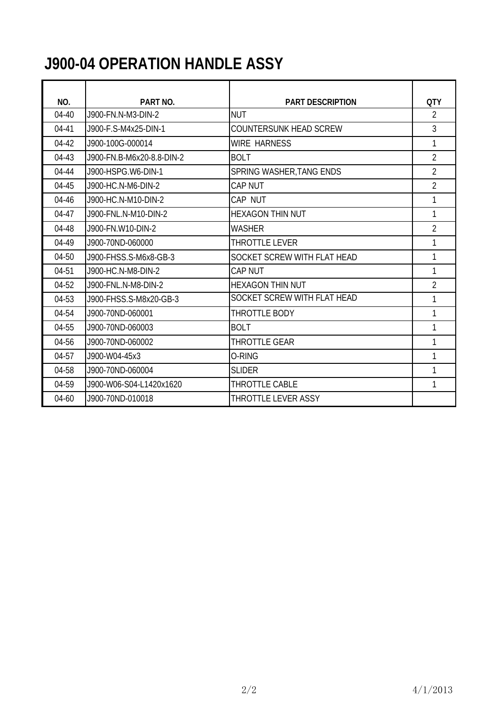# **J900-04 OPERATION HANDLE ASSY**

| NO.       | PART NO.                  | <b>PART DESCRIPTION</b>       | <b>QTY</b>     |
|-----------|---------------------------|-------------------------------|----------------|
| $04-40$   | J900-FN.N-M3-DIN-2        | <b>NUT</b>                    | 2              |
| $04 - 41$ | J900-F.S-M4x25-DIN-1      | <b>COUNTERSUNK HEAD SCREW</b> | 3              |
| $04 - 42$ | J900-100G-000014          | <b>WIRE HARNESS</b>           | 1              |
| 04-43     | J900-FN.B-M6x20-8.8-DIN-2 | <b>BOLT</b>                   | $\overline{2}$ |
| 04-44     | J900-HSPG.W6-DIN-1        | SPRING WASHER, TANG ENDS      | $\overline{2}$ |
| 04-45     | J900-HC.N-M6-DIN-2        | <b>CAP NUT</b>                | $\overline{2}$ |
| 04-46     | J900-HC.N-M10-DIN-2       | CAP NUT                       | 1              |
| $04 - 47$ | J900-FNL.N-M10-DIN-2      | <b>HEXAGON THIN NUT</b>       | 1              |
| 04-48     | J900-FN.W10-DIN-2         | <b>WASHER</b>                 | $\overline{2}$ |
| 04-49     | J900-70ND-060000          | <b>THROTTLE LEVER</b>         |                |
| 04-50     | J900-FHSS.S-M6x8-GB-3     | SOCKET SCREW WITH FLAT HEAD   | 1              |
| 04-51     | J900-HC.N-M8-DIN-2        | <b>CAP NUT</b>                | 1              |
| 04-52     | J900-FNL.N-M8-DIN-2       | <b>HEXAGON THIN NUT</b>       | $\overline{2}$ |
| 04-53     | J900-FHSS.S-M8x20-GB-3    | SOCKET SCREW WITH FLAT HEAD   | 1              |
| 04-54     | J900-70ND-060001          | THROTTLE BODY                 | 1              |
| 04-55     | J900-70ND-060003          | <b>BOLT</b>                   | 1              |
| 04-56     | J900-70ND-060002          | <b>THROTTLE GEAR</b>          | 1              |
| 04-57     | J900-W04-45x3             | O-RING                        | 1              |
| 04-58     | J900-70ND-060004          | <b>SLIDER</b>                 |                |
| 04-59     | J900-W06-S04-L1420x1620   | <b>THROTTLE CABLE</b>         | 1              |
| 04-60     | J900-70ND-010018          | THROTTLE LEVER ASSY           |                |